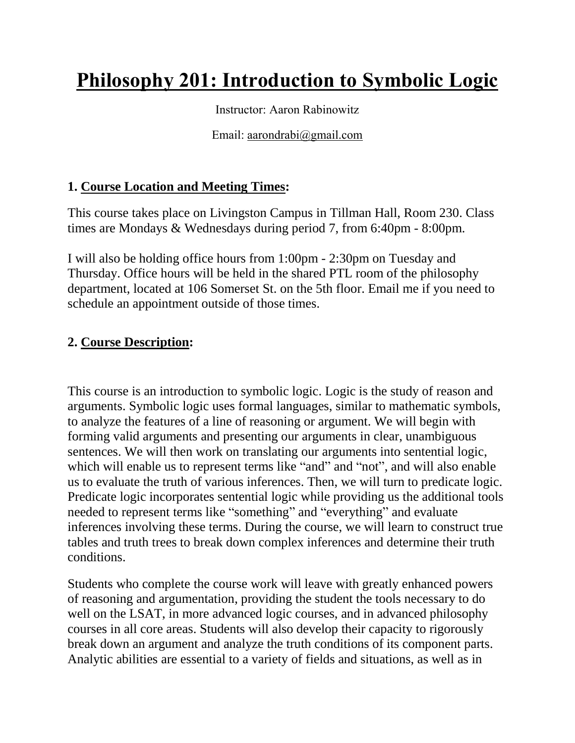# **Philosophy 201: Introduction to Symbolic Logic**

Instructor: Aaron Rabinowitz

Email: [aarondrabi@gmail.com](mailto:aarondrabi@gmail.com)

## **1. Course Location and Meeting Times:**

This course takes place on Livingston Campus in Tillman Hall, Room 230. Class times are Mondays & Wednesdays during period 7, from 6:40pm - 8:00pm.

I will also be holding office hours from 1:00pm - 2:30pm on Tuesday and Thursday. Office hours will be held in the shared PTL room of the philosophy department, located at 106 Somerset St. on the 5th floor. Email me if you need to schedule an appointment outside of those times.

#### **2. Course Description:**

This course is an introduction to symbolic logic. Logic is the study of reason and arguments. Symbolic logic uses formal languages, similar to mathematic symbols, to analyze the features of a line of reasoning or argument. We will begin with forming valid arguments and presenting our arguments in clear, unambiguous sentences. We will then work on translating our arguments into sentential logic, which will enable us to represent terms like "and" and "not", and will also enable us to evaluate the truth of various inferences. Then, we will turn to predicate logic. Predicate logic incorporates sentential logic while providing us the additional tools needed to represent terms like "something" and "everything" and evaluate inferences involving these terms. During the course, we will learn to construct true tables and truth trees to break down complex inferences and determine their truth conditions.

Students who complete the course work will leave with greatly enhanced powers of reasoning and argumentation, providing the student the tools necessary to do well on the LSAT, in more advanced logic courses, and in advanced philosophy courses in all core areas. Students will also develop their capacity to rigorously break down an argument and analyze the truth conditions of its component parts. Analytic abilities are essential to a variety of fields and situations, as well as in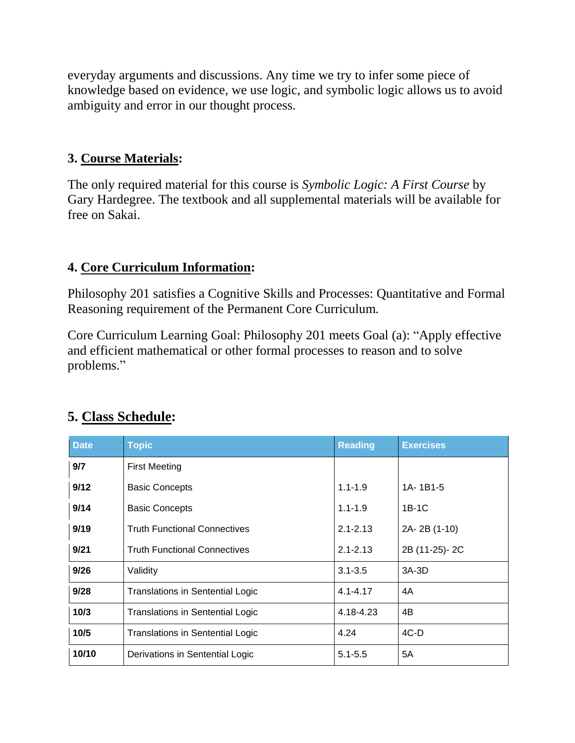everyday arguments and discussions. Any time we try to infer some piece of knowledge based on evidence, we use logic, and symbolic logic allows us to avoid ambiguity and error in our thought process.

#### **3. Course Materials:**

The only required material for this course is *Symbolic Logic: A First Course* by Gary Hardegree. The textbook and all supplemental materials will be available for free on Sakai.

#### **4. Core Curriculum Information:**

Philosophy 201 satisfies a Cognitive Skills and Processes: Quantitative and Formal Reasoning requirement of the Permanent Core Curriculum.

Core Curriculum Learning Goal: Philosophy 201 meets Goal (a): "Apply effective and efficient mathematical or other formal processes to reason and to solve problems."

| <b>Date</b> | <b>Topic</b>                            | <b>Reading</b>         | <b>Exercises</b> |  |  |
|-------------|-----------------------------------------|------------------------|------------------|--|--|
| 9/7         | <b>First Meeting</b>                    |                        |                  |  |  |
| 9/12        | <b>Basic Concepts</b>                   | $1.1 - 1.9$            | 1A-1B1-5         |  |  |
| 9/14        | <b>Basic Concepts</b>                   | $1.1 - 1.9$            | $1B-1C$          |  |  |
| 9/19        | <b>Truth Functional Connectives</b>     | $2.1 - 2.13$           | 2A-2B (1-10)     |  |  |
| 9/21        | <b>Truth Functional Connectives</b>     | $2.1 - 2.13$           | 2B (11-25)-2C    |  |  |
| 9/26        | Validity                                | $3.1 - 3.5$<br>$3A-3D$ |                  |  |  |
| 9/28        | <b>Translations in Sentential Logic</b> | $4.1 - 4.17$           | 4A               |  |  |
| 10/3        | <b>Translations in Sentential Logic</b> | 4.18-4.23              | 4B               |  |  |
| 10/5        | <b>Translations in Sentential Logic</b> | 4.24                   | $4C-D$           |  |  |
| 10/10       | Derivations in Sentential Logic         | $5.1 - 5.5$            | 5A               |  |  |

# **5. Class Schedule:**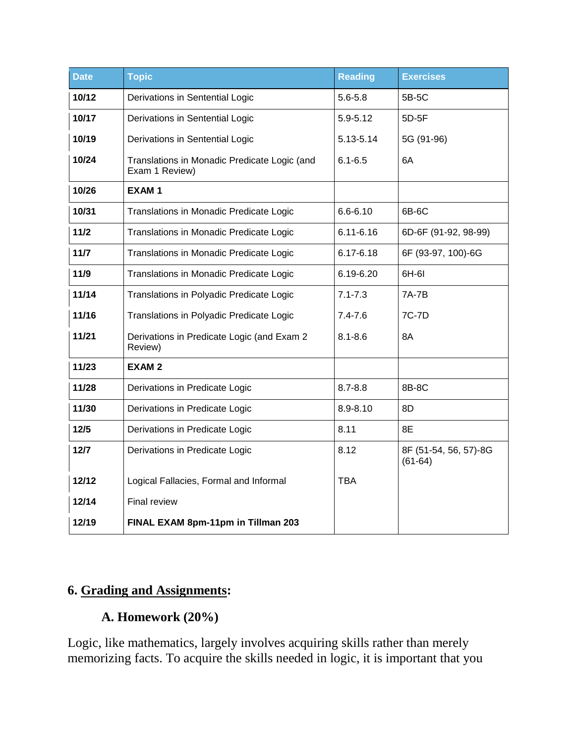| <b>Date</b> | <b>Topic</b>                                                   | <b>Reading</b> | <b>Exercises</b>                   |  |  |
|-------------|----------------------------------------------------------------|----------------|------------------------------------|--|--|
| 10/12       | Derivations in Sentential Logic                                | $5.6 - 5.8$    | 5B-5C                              |  |  |
| 10/17       | Derivations in Sentential Logic                                | $5.9 - 5.12$   | 5D-5F                              |  |  |
| 10/19       | Derivations in Sentential Logic                                | 5.13-5.14      | 5G (91-96)                         |  |  |
| 10/24       | Translations in Monadic Predicate Logic (and<br>Exam 1 Review) | $6.1 - 6.5$    | 6A                                 |  |  |
| 10/26       | <b>EXAM1</b>                                                   |                |                                    |  |  |
| 10/31       | Translations in Monadic Predicate Logic                        | $6.6 - 6.10$   | 6B-6C                              |  |  |
| $11/2$      | Translations in Monadic Predicate Logic                        | $6.11 - 6.16$  | 6D-6F (91-92, 98-99)               |  |  |
| $11/7$      | Translations in Monadic Predicate Logic                        | $6.17 - 6.18$  | 6F (93-97, 100)-6G                 |  |  |
| $11/9$      | Translations in Monadic Predicate Logic                        | 6.19-6.20      | 6H-6I                              |  |  |
| 11/14       | Translations in Polyadic Predicate Logic                       | $7.1 - 7.3$    | 7A-7B                              |  |  |
| 11/16       | Translations in Polyadic Predicate Logic                       | $7.4 - 7.6$    | 7C-7D                              |  |  |
| 11/21       | Derivations in Predicate Logic (and Exam 2<br>Review)          | $8.1 - 8.6$    | 8A                                 |  |  |
| 11/23       | <b>EXAM2</b>                                                   |                |                                    |  |  |
| 11/28       | Derivations in Predicate Logic                                 | $8.7 - 8.8$    | 8B-8C                              |  |  |
| 11/30       | Derivations in Predicate Logic                                 | 8.9-8.10       | 8D                                 |  |  |
| $12/5$      | Derivations in Predicate Logic                                 | 8.11           | 8E                                 |  |  |
| $12/7$      | Derivations in Predicate Logic                                 | 8.12           | 8F (51-54, 56, 57)-8G<br>$(61-64)$ |  |  |
| 12/12       | Logical Fallacies, Formal and Informal                         | <b>TBA</b>     |                                    |  |  |
| 12/14       | Final review                                                   |                |                                    |  |  |
| 12/19       | FINAL EXAM 8pm-11pm in Tillman 203                             |                |                                    |  |  |

# **6. Grading and Assignments:**

# **A. Homework (20%)**

Logic, like mathematics, largely involves acquiring skills rather than merely memorizing facts. To acquire the skills needed in logic, it is important that you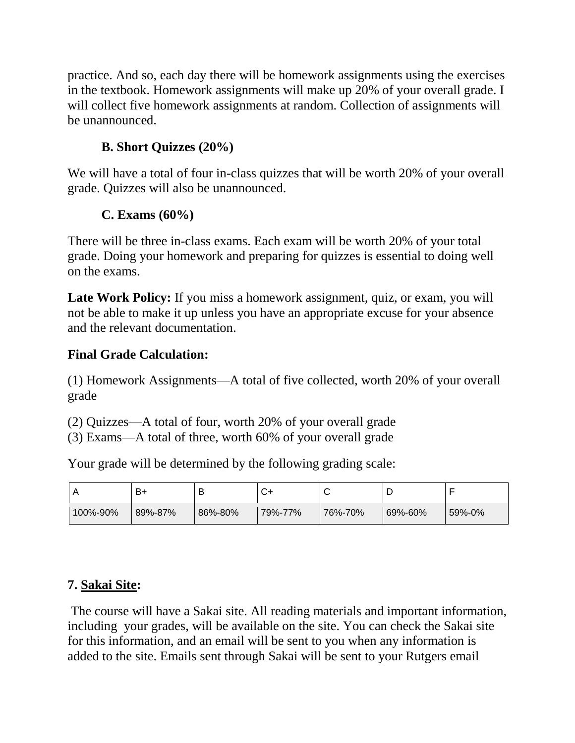practice. And so, each day there will be homework assignments using the exercises in the textbook. Homework assignments will make up 20% of your overall grade. I will collect five homework assignments at random. Collection of assignments will be unannounced.

## **B. Short Quizzes (20%)**

We will have a total of four in-class quizzes that will be worth 20% of your overall grade. Quizzes will also be unannounced.

## **C. Exams (60%)**

There will be three in-class exams. Each exam will be worth 20% of your total grade. Doing your homework and preparing for quizzes is essential to doing well on the exams.

**Late Work Policy:** If you miss a homework assignment, quiz, or exam, you will not be able to make it up unless you have an appropriate excuse for your absence and the relevant documentation.

## **Final Grade Calculation:**

(1) Homework Assignments—A total of five collected, worth 20% of your overall grade

(2) Quizzes—A total of four, worth 20% of your overall grade

(3) Exams—A total of three, worth 60% of your overall grade

Your grade will be determined by the following grading scale:

|          | B+      | В       |         | ັ       |         |        |
|----------|---------|---------|---------|---------|---------|--------|
| 100%-90% | 89%-87% | 86%-80% | 79%-77% | 76%-70% | 69%-60% | 59%-0% |

# **7. Sakai Site:**

The course will have a Sakai site. All reading materials and important information, including your grades, will be available on the site. You can check the Sakai site for this information, and an email will be sent to you when any information is added to the site. Emails sent through Sakai will be sent to your Rutgers email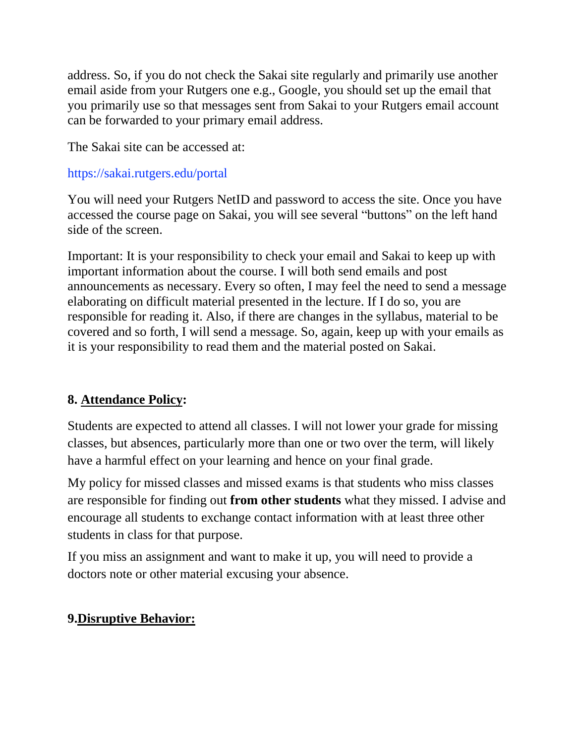address. So, if you do not check the Sakai site regularly and primarily use another email aside from your Rutgers one e.g., Google, you should set up the email that you primarily use so that messages sent from Sakai to your Rutgers email account can be forwarded to your primary email address.

The Sakai site can be accessed at:

#### https://sakai.rutgers.edu/portal

You will need your Rutgers NetID and password to access the site. Once you have accessed the course page on Sakai, you will see several "buttons" on the left hand side of the screen.

Important: It is your responsibility to check your email and Sakai to keep up with important information about the course. I will both send emails and post announcements as necessary. Every so often, I may feel the need to send a message elaborating on difficult material presented in the lecture. If I do so, you are responsible for reading it. Also, if there are changes in the syllabus, material to be covered and so forth, I will send a message. So, again, keep up with your emails as it is your responsibility to read them and the material posted on Sakai.

## **8. Attendance Policy:**

Students are expected to attend all classes. I will not lower your grade for missing classes, but absences, particularly more than one or two over the term, will likely have a harmful effect on your learning and hence on your final grade.

My policy for missed classes and missed exams is that students who miss classes are responsible for finding out **from other students** what they missed. I advise and encourage all students to exchange contact information with at least three other students in class for that purpose.

If you miss an assignment and want to make it up, you will need to provide a doctors note or other material excusing your absence.

## **9.Disruptive Behavior:**